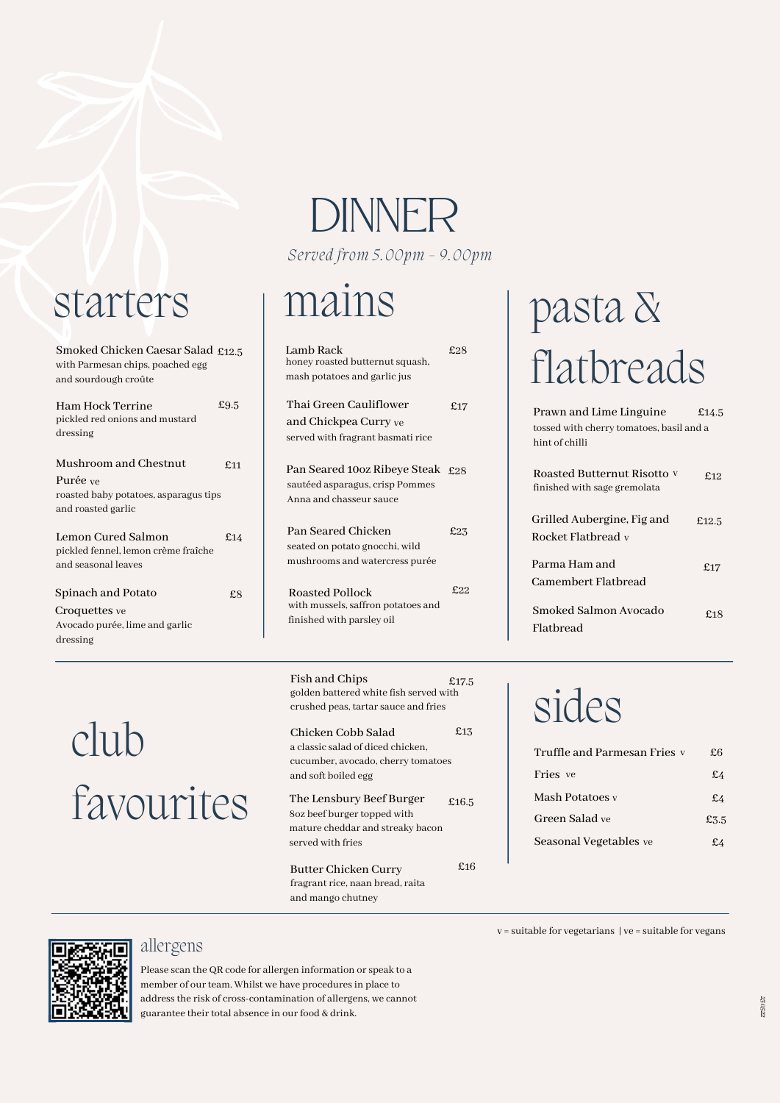### starters mains

Smoked Chicken Caesar Salad £12.5 with Parmesan chips, poached egg and sourdough croûte

| Ham Hock Terrine<br>pickled red onions and mustard<br>dressing                                   | £9.5 | Thai Green Cauliflower<br>and Chickpea Curry ve<br>served with fragrant basmati rice       |
|--------------------------------------------------------------------------------------------------|------|--------------------------------------------------------------------------------------------|
| Mushroom and Chestnut<br>Purée ve<br>roasted baby potatoes, asparagus tips<br>and roasted garlic | f.11 | Pan Seared 100z Ribeye Steak<br>sautéed asparagus, crisp Pommes<br>Anna and chasseur sauce |
| Lemon Cured Salmon<br>pickled fennel, lemon crème fraîche<br>and seasonal leaves                 | £14  | Pan Seared Chicken<br>seated on potato gnocchi, wild<br>mushrooms and watercress purée     |
| Spinach and Potato<br>Croquettes ve<br>Avocado purée, lime and garlic<br>dressing                | £8   | Roasted Pollock<br>with mussels, saffron potatoes and<br>finished with parsley oil         |

# DINNER

*Served from 5.00pm - 9.00pm*

| $2.5\,$ | Lamb Rack<br>honey roasted butternut squash,<br>mash potatoes and garlic jus                   | £28 |
|---------|------------------------------------------------------------------------------------------------|-----|
| $.5\,$  | Thai Green Cauliflower<br>and Chickpea Curry ve<br>served with fragrant basmati rice           | £17 |
| :11     | Pan Seared 10oz Ribeye Steak £28<br>sautéed asparagus, crisp Pommes<br>Anna and chasseur sauce |     |
| 14      | Pan Seared Chicken<br>seated on potato gnocchi, wild<br>mushrooms and watercress purée         | £23 |
| £8      | Roasted Pollock<br>with mussels, saffron potatoes and<br>finished with parsley oil             | f22 |

Fish and Chips golden battered white fish served with crushed peas, tartar sauce and fries £17.5

Chicken Cobb Salad a classic salad of diced chicken, cucumber, avocado, cherry tomatoes and soft boiled egg £13

The Lensbury Beef Burger 8oz beef burger topped with mature cheddar and streaky bacon served with fries £16.5

£16

Butter Chicken Curry fragrant rice, naan bread, raita and mango chutney

# pasta & flatbreads

| Prawn and Lime Linguine                                     | £14.5 |
|-------------------------------------------------------------|-------|
| tossed with cherry tomatoes, basil and a                    |       |
| hint of chilli                                              |       |
| Roasted Butternut Risotto v<br>finished with sage gremolata | £12   |
| Grilled Aubergine, Fig and<br>Rocket Flatbread v            | £12.5 |
| Parma Ham and<br>Camembert Flatbread                        | £17   |
| Smoked Salmon Avocado<br>Flathread                          | £18   |

# sides

| Truffle and Parmesan Fries v | £6             |
|------------------------------|----------------|
| Fries ve                     | £4             |
| Mash Potatoes v              | £4             |
| Green Salad ve               | £3.5           |
| Seasonal Vegetables ve       | $f\mathcal{A}$ |

club

#### allergens

favourites

Please scan the QR code for allergen information or speak to a member of our team. Whilst we have procedures in place to address the risk of cross-contamination of allergens, we cannot guarantee their total absence in our food & drink.

 $v =$  suitable for vegetarians  $|ve =$  suitable for vegans